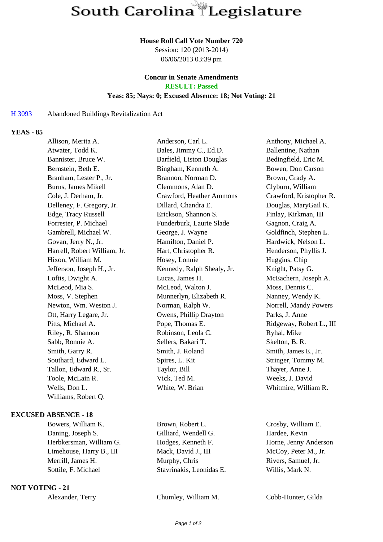#### **House Roll Call Vote Number 720**

Session: 120 (2013-2014) 06/06/2013 03:39 pm

#### **Concur in Senate Amendments RESULT: Passed**

# **Yeas: 85; Nays: 0; Excused Absence: 18; Not Voting: 21**

## H 3093 Abandoned Buildings Revitalization Act

## **YEAS - 85**

| Allison, Merita A.           | Anderson, Carl L.          | Anthony, Michael A.      |
|------------------------------|----------------------------|--------------------------|
| Atwater, Todd K.             | Bales, Jimmy C., Ed.D.     | Ballentine, Nathan       |
| Bannister, Bruce W.          | Barfield, Liston Douglas   | Bedingfield, Eric M.     |
| Bernstein, Beth E.           | Bingham, Kenneth A.        | Bowen, Don Carson        |
| Branham, Lester P., Jr.      | Brannon, Norman D.         | Brown, Grady A.          |
| Burns, James Mikell          | Clemmons, Alan D.          | Clyburn, William         |
| Cole, J. Derham, Jr.         | Crawford, Heather Ammons   | Crawford, Kristopher R.  |
| Delleney, F. Gregory, Jr.    | Dillard, Chandra E.        | Douglas, MaryGail K.     |
| Edge, Tracy Russell          | Erickson, Shannon S.       | Finlay, Kirkman, III     |
| Forrester, P. Michael        | Funderburk, Laurie Slade   | Gagnon, Craig A.         |
| Gambrell, Michael W.         | George, J. Wayne           | Goldfinch, Stephen L.    |
| Govan, Jerry N., Jr.         | Hamilton, Daniel P.        | Hardwick, Nelson L.      |
| Harrell, Robert William, Jr. | Hart, Christopher R.       | Henderson, Phyllis J.    |
| Hixon, William M.            | Hosey, Lonnie              | Huggins, Chip            |
| Jefferson, Joseph H., Jr.    | Kennedy, Ralph Shealy, Jr. | Knight, Patsy G.         |
| Loftis, Dwight A.            | Lucas, James H.            | McEachern, Joseph A.     |
| McLeod, Mia S.               | McLeod, Walton J.          | Moss, Dennis C.          |
| Moss, V. Stephen             | Munnerlyn, Elizabeth R.    | Nanney, Wendy K.         |
| Newton, Wm. Weston J.        | Norman, Ralph W.           | Norrell, Mandy Powers    |
| Ott, Harry Legare, Jr.       | Owens, Phillip Drayton     | Parks, J. Anne           |
| Pitts, Michael A.            | Pope, Thomas E.            | Ridgeway, Robert L., III |
| Riley, R. Shannon            | Robinson, Leola C.         | Ryhal, Mike              |
| Sabb, Ronnie A.              | Sellers, Bakari T.         | Skelton, B. R.           |
| Smith, Garry R.              | Smith, J. Roland           | Smith, James E., Jr.     |
| Southard, Edward L.          | Spires, L. Kit             | Stringer, Tommy M.       |
| Tallon, Edward R., Sr.       | Taylor, Bill               | Thayer, Anne J.          |
| Toole, McLain R.             | Vick, Ted M.               | Weeks, J. David          |
| Wells, Don L.                | White, W. Brian            | Whitmire, William R.     |
| Williams, Robert Q.          |                            |                          |
|                              |                            |                          |

# **EXCUSED ABSENCE - 18**

Bowers, William K. Brown, Robert L. Crosby, William E. Daning, Joseph S. Gilliard, Wendell G. Hardee, Kevin Herbkersman, William G. Hodges, Kenneth F. Horne, Jenny Anderson Limehouse, Harry B., III Mack, David J., III McCoy, Peter M., Jr. Merrill, James H. Murphy, Chris Rivers, Samuel, Jr. Sottile, F. Michael Stavrinakis, Leonidas E. Willis, Mark N.

## **NOT VOTING - 21**

Alexander, Terry Chumley, William M. Cobb-Hunter, Gilda